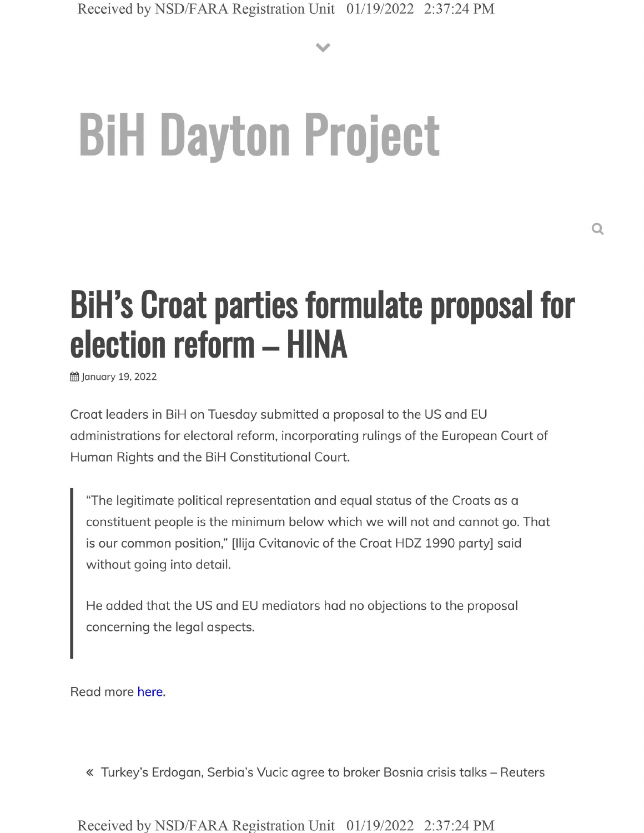**V**

## **BiH Dayton Project**

## **BiH's Croat parties formulate proposal for election reform - HINA**

January 19, 2022

Croat leaders in BiH on Tuesday submitted a proposal to the US and EU administrations for electoral reform, incorporating rulings of the European Court of Human Rights and the BiH Constitutional Court.

"The legitimate political representation and equal status of the Croats as a constituent people is the minimum below which we will not and cannot go. That is our common position," [llija Cvitanovic of the Croat HDZ 1990 party] said without going into detail.

He added that the US and EU mediators had no objections to the proposal concerning the legal aspects.

Read more here.

« Turkey's Erdogan, Serbia's Vucic agree to broker Bosnia crisis talks - Reuters

Received by NSD/FARA Registration Unit 01/19/2022 2:37:24 PM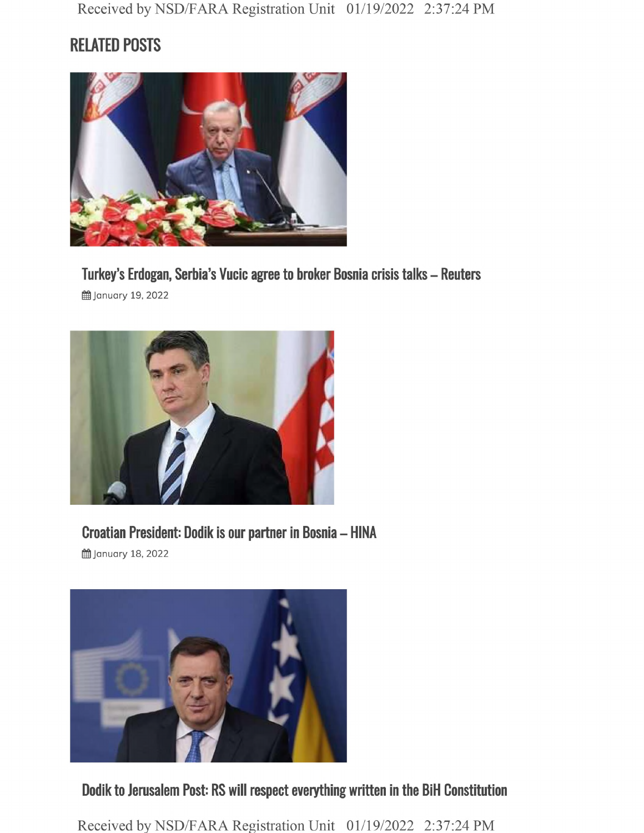## **RELATED POSTS**



**Turkey's Erdogan, Serbia's Vucic agree to broker Bosnia crisis talks - Reuters**

g January 19, 2022



**Croatian President: Dodik is our partner in Bosnia - HINA**

§§ January 18, 2022



**Dodik to Jerusalem Post: RS will respect everything written in the BiH Constitution**

Received by NSD/FARA Registration Unit 01/19/2022 2:37:24 PM